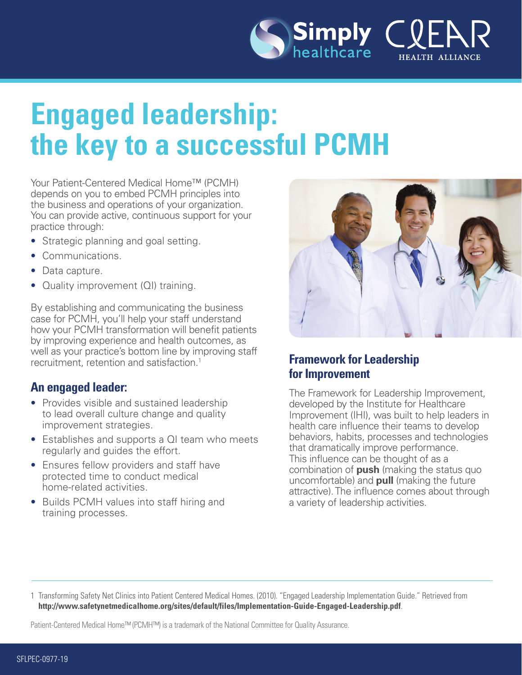

# **Engaged leadership: the key to a successful PCMH**

Your Patient-Centered Medical Home™ (PCMH) depends on you to embed PCMH principles into the business and operations of your organization. You can provide active, continuous support for your practice through:

- Strategic planning and goal setting.
- Communications.
- Data capture.
- Quality improvement (QI) training.

By establishing and communicating the business case for PCMH, you'll help your staff understand how your PCMH transformation will benefit patients by improving experience and health outcomes, as well as your practice's bottom line by improving staff recruitment, retention and satisfaction.1

## **An engaged leader:**

- Provides visible and sustained leadership to lead overall culture change and quality improvement strategies.
- Establishes and supports a QI team who meets regularly and guides the effort.
- Ensures fellow providers and staff have protected time to conduct medical home-related activities.
- Builds PCMH values into staff hiring and training processes.



## **Framework for Leadership for Improvement**

The Framework for Leadership Improvement, developed by the Institute for Healthcare Improvement (IHI), was built to help leaders in health care influence their teams to develop behaviors, habits, processes and technologies that dramatically improve performance. This influence can be thought of as a combination of **push** (making the status quo uncomfortable) and **pull** (making the future attractive). The influence comes about through a variety of leadership activities.

1 Transforming Safety Net Clinics into Patient Centered Medical Homes. (2010). "Engaged Leadership Implementation Guide." Retrieved from **http:/[/www.safetynetmedicalhome.org/sites/default/files/Implementation-Guide-Engaged-Leadership.pdf](http://www.safetynetmedicalhome.org/sites/default/files/Implementation-Guide-Engaged-Leadership.pdf)**.

Patient-Centered Medical Home™ (PCMH™) is a trademark of the National Committee for Quality Assurance.